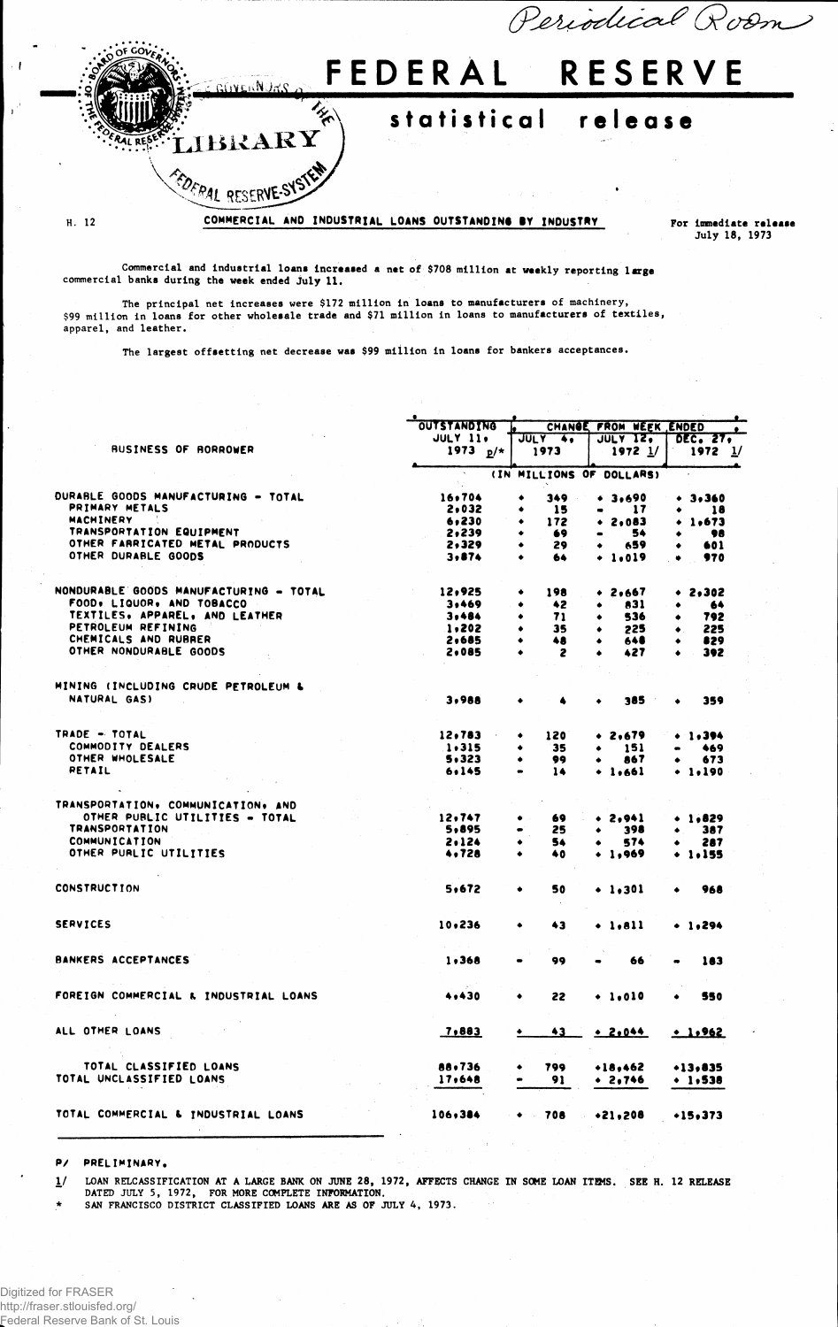

July 18, 1973

Commercial and Industrial loans Increased a net of \$708 million at weekly reporting large commercial banks during the week ended July 11.

The principal net increases were \$172 million in loans to manufacturers of machinery, \$99 million in loans for other wholesale trade and \$71 million in loans to manufacturers of textiles, apparel, and leather.

The largest offsetting net decrease was \$99 million in loans for bankers acceptances.

|                                        | <b>OUTSTANDING</b>        | <b>CHANGE</b><br>FROM WEEK ENDED |                          |                    |  |  |  |  |  |
|----------------------------------------|---------------------------|----------------------------------|--------------------------|--------------------|--|--|--|--|--|
|                                        | <b>JULY 11.</b>           | JULY 4,                          | JULY 12.                 | DEC. 27,           |  |  |  |  |  |
| <b>BUSINESS OF BORROWER</b>            | 1973 $p/*$                | 1973                             | $1972$ $1/$              | $1972 \frac{1}{2}$ |  |  |  |  |  |
|                                        | $\mathbf{R}_{\mathrm{c}}$ |                                  | (IN MILLIONS OF DOLLARS) |                    |  |  |  |  |  |
| DURABLE GOODS MANUFACTURING - TOTAL    | 16,704                    | 349<br>٠<br>$\sim 10$            | • 3,690                  | $+ 3,360$          |  |  |  |  |  |
| PRIMARY METALS                         | 2,032                     | 15<br>٠                          | -17<br>$\bullet$         | 18<br>٠            |  |  |  |  |  |
| <b>MACHINERY</b>                       | 6,230                     | 172                              | • 2.083                  | $+ 1.673$          |  |  |  |  |  |
| TRANSPORTATION EQUIPMENT               | 2,239                     | 69                               | 54                       | 98                 |  |  |  |  |  |
| OTHER FARRICATED METAL PRODUCTS        | 2,329                     | 29                               | 659                      | 601                |  |  |  |  |  |
| OTHER DURABLE GOODS                    | 3,874                     | 64<br>٠                          | $+ 1.019$                | 970                |  |  |  |  |  |
| NONDURABLE GOODS MANUFACTURING - TOTAL | 12,925                    | 198<br>٠                         | $+ 2.667$                | $+ 2,302$          |  |  |  |  |  |
| FOOD, LIQUOR, AND TOBACCO              |                           |                                  |                          |                    |  |  |  |  |  |
| TEXTILES, APPAREL, AND LEATHER         | 3,469                     | 42<br>٠                          | 831<br>٠                 | 64                 |  |  |  |  |  |
| PETROLEUM REFINING                     | 3,484                     | 71<br>٠                          | 536<br>٠                 | 792                |  |  |  |  |  |
|                                        | 1,202                     | 35<br>۰                          | 225<br>٠                 | 225                |  |  |  |  |  |
| CHEMICALS AND RUBRER                   | 2,685                     | 48<br>$\bullet$                  | 648<br>٠                 | 829                |  |  |  |  |  |
| OTHER NONDURABLE GOODS                 | 2,085                     | 2<br>٠                           | 427<br>٠                 | 392<br>$\bullet$   |  |  |  |  |  |
| MINING (INCLUDING CRUDE PETROLEUM &    |                           |                                  |                          |                    |  |  |  |  |  |
| NATURAL GAS)                           | 3.988                     |                                  | 385                      | 359                |  |  |  |  |  |
| TRADE - TOTAL                          | 12,783                    | 120<br>٠                         | $+ 2,679$                | $+1.394$           |  |  |  |  |  |
| COMMODITY DEALERS                      | 1.315                     | 35<br>٠                          | 151                      | 469                |  |  |  |  |  |
| OTHER WHOLESALE                        | 5,323                     | 99<br>٠                          |                          |                    |  |  |  |  |  |
| <b>RETAIL</b>                          |                           |                                  | 867                      | 673                |  |  |  |  |  |
|                                        | 6,145                     | 14<br>$\bullet$                  | $+ 1.661$                | + 1.190            |  |  |  |  |  |
| TRANSPORTATION, COMMUNICATION, AND     |                           |                                  |                          |                    |  |  |  |  |  |
| OTHER PUBLIC UTILITIES - TOTAL         | 12,747                    | 69.<br>۰                         | $+ 2.941$                | • 1.829            |  |  |  |  |  |
| <b>TRANSPORTATION</b>                  | 5,895                     | 25                               | 398                      | 387                |  |  |  |  |  |
| <b>COMMUNICATION</b>                   | 2.124                     | 54                               | 574                      | 287                |  |  |  |  |  |
| OTHER PURLIC UTILITIES                 | 4,728                     | ٠<br>40                          | $+1,969$                 | $+ 1.155$          |  |  |  |  |  |
| <b>CONSTRUCTION</b>                    |                           |                                  |                          |                    |  |  |  |  |  |
|                                        | 5,672                     | 50<br>۰                          | $+ 1.301$                | 968                |  |  |  |  |  |
| <b>SERVICES</b>                        | 10.236                    | 43<br>٠                          | $\bullet$ 1,811          | $+ 1,294$          |  |  |  |  |  |
|                                        |                           |                                  |                          |                    |  |  |  |  |  |
| <b>BANKERS ACCEPTANCES</b>             | 1,368                     | 99                               | 66                       | 183                |  |  |  |  |  |
| FOREIGN COMMERCIAL & INDUSTRIAL LOANS  | 4,430                     | 22<br>٠                          | $\ddotsc$ 1.010          | 550                |  |  |  |  |  |
| ALL OTHER LOANS                        | 7,883                     | 43<br>۰                          | .2.044                   | .1,962             |  |  |  |  |  |
|                                        |                           |                                  |                          |                    |  |  |  |  |  |
| TOTAL CLASSIFIED LOANS                 | 88,736                    | 799                              | $+18,462$                | $+13.835$          |  |  |  |  |  |
| TOTAL UNCLASSIFIED LOANS               | 17,648                    | 91                               | $+ 2.746$                | $+ 1,538$          |  |  |  |  |  |
| TOTAL COMMERCIAL & INDUSTRIAL LOANS    | 106,384                   | $\bullet$ 708                    | $*21,208$                | $+15,373$          |  |  |  |  |  |
|                                        |                           |                                  |                          |                    |  |  |  |  |  |

P/ PRELIMINARY,

1/ LOAN RELCASSIFICATION AT A LARGE BANK ON JUNE 28, 1972, AFFECTS CHANGE IN SOKE LOAN ITEMS. SEE H. 12 RELEASE DATED JULY 5, 1972, FOR MORE COMPLETE INFORMATION.

\* SAN FRANCISCO DISTRICT CLASSIFIED LOANS ARE AS OF JULY 4, 1973.